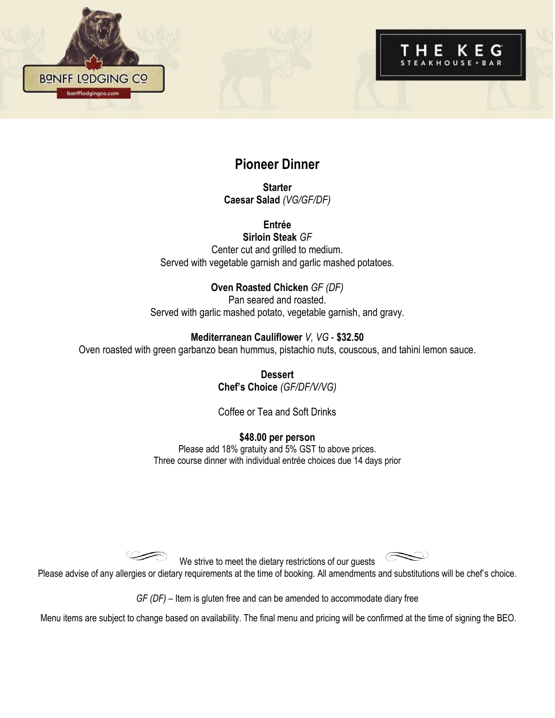

## **Pioneer Dinner**

**Starter Caesar Salad** *(VG/GF/DF)*

**Entrée Sirloin Steak** *GF* Center cut and grilled to medium. Served with vegetable garnish and garlic mashed potatoes.

## **Oven Roasted Chicken** *GF (DF)*

Pan seared and roasted. Served with garlic mashed potato, vegetable garnish, and gravy.

### **Mediterranean Cauliflower** *V, VG* - **\$32.50**

Oven roasted with green garbanzo bean hummus, pistachio nuts, couscous, and tahini lemon sauce.

**Dessert Chef's Choice** *(GF/DF/V/VG)*

Coffee or Tea and Soft Drinks

**\$48.00 per person**

Please add 18% gratuity and 5% GST to above prices. Three course dinner with individual entrée choices due 14 days prior

We strive to meet the dietary restrictions of our guests

Please advise of any allergies or dietary requirements at the time of booking. All amendments and substitutions will be chef's choice.

*GF (DF)* – Item is gluten free and can be amended to accommodate diary free

Menu items are subject to change based on availability. The final menu and pricing will be confirmed at the time of signing the BEO.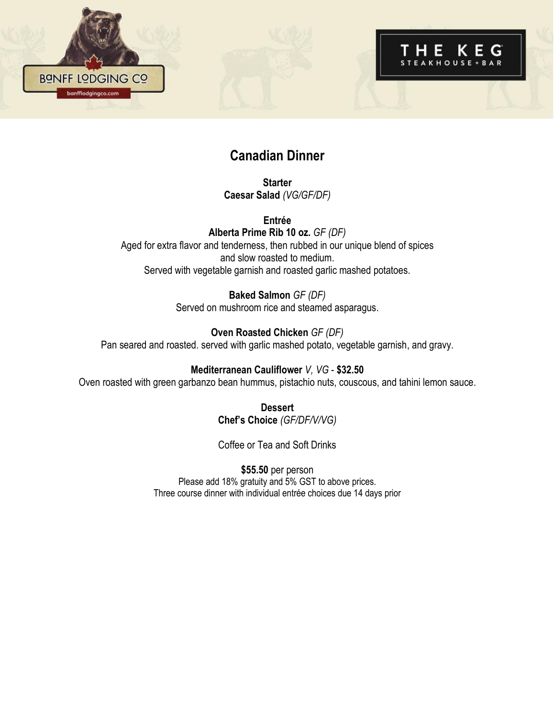

# **Canadian Dinner**

**Starter Caesar Salad** *(VG/GF/DF)*

**Entrée Alberta Prime Rib 10 oz.** *GF (DF)* Aged for extra flavor and tenderness, then rubbed in our unique blend of spices and slow roasted to medium. Served with vegetable garnish and roasted garlic mashed potatoes.

> **Baked Salmon** *GF (DF)* Served on mushroom rice and steamed asparagus.

**Oven Roasted Chicken** *GF (DF)* Pan seared and roasted. served with garlic mashed potato, vegetable garnish, and gravy.

**Mediterranean Cauliflower** *V, VG* - **\$32.50** Oven roasted with green garbanzo bean hummus, pistachio nuts, couscous, and tahini lemon sauce.

> **Dessert Chef's Choice** *(GF/DF/V/VG)*

> Coffee or Tea and Soft Drinks

**\$55.50** per person Please add 18% gratuity and 5% GST to above prices. Three course dinner with individual entrée choices due 14 days prior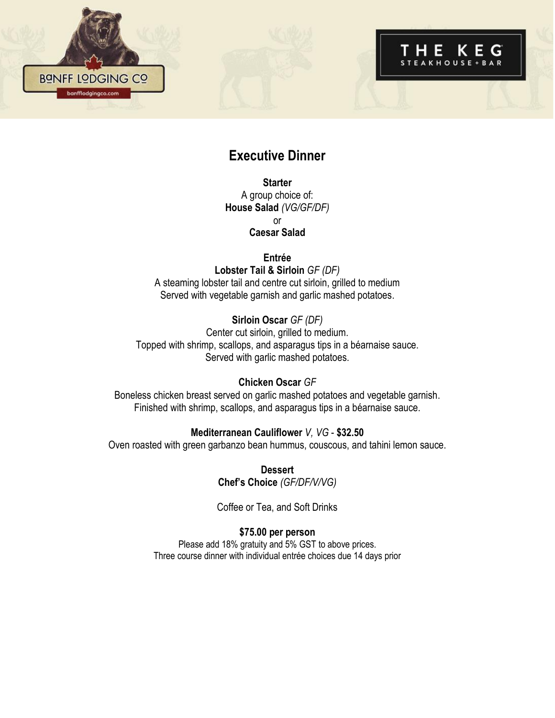

## **Executive Dinner**

**Starter** A group choice of: **House Salad** *(VG/GF/DF)* or **Caesar Salad** 

**Entrée**

**Lobster Tail & Sirloin** *GF (DF)* A steaming lobster tail and centre cut sirloin, grilled to medium Served with vegetable garnish and garlic mashed potatoes.

**Sirloin Oscar** *GF (DF)* Center cut sirloin, grilled to medium. Topped with shrimp, scallops, and asparagus tips in a béarnaise sauce. Served with garlic mashed potatoes.

#### **Chicken Oscar** *GF*

Boneless chicken breast served on garlic mashed potatoes and vegetable garnish. Finished with shrimp, scallops, and asparagus tips in a béarnaise sauce.

### **Mediterranean Cauliflower** *V, VG* - **\$32.50**

Oven roasted with green garbanzo bean hummus, couscous, and tahini lemon sauce.

**Dessert Chef's Choice** *(GF/DF/V/VG)* 

Coffee or Tea, and Soft Drinks

**\$75.00 per person**

Please add 18% gratuity and 5% GST to above prices. Three course dinner with individual entrée choices due 14 days prior